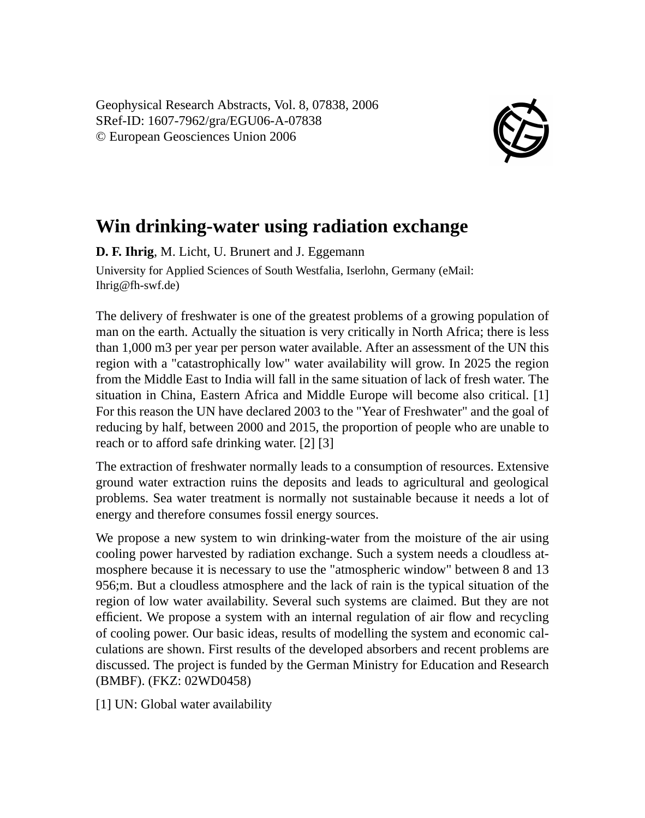Geophysical Research Abstracts, Vol. 8, 07838, 2006 SRef-ID: 1607-7962/gra/EGU06-A-07838 © European Geosciences Union 2006



## **Win drinking-water using radiation exchange**

**D. F. Ihrig**, M. Licht, U. Brunert and J. Eggemann University for Applied Sciences of South Westfalia, Iserlohn, Germany (eMail: Ihrig@fh-swf.de)

The delivery of freshwater is one of the greatest problems of a growing population of man on the earth. Actually the situation is very critically in North Africa; there is less than 1,000 m3 per year per person water available. After an assessment of the UN this region with a "catastrophically low" water availability will grow. In 2025 the region from the Middle East to India will fall in the same situation of lack of fresh water. The situation in China, Eastern Africa and Middle Europe will become also critical. [1] For this reason the UN have declared 2003 to the "Year of Freshwater" and the goal of reducing by half, between 2000 and 2015, the proportion of people who are unable to reach or to afford safe drinking water. [2] [3]

The extraction of freshwater normally leads to a consumption of resources. Extensive ground water extraction ruins the deposits and leads to agricultural and geological problems. Sea water treatment is normally not sustainable because it needs a lot of energy and therefore consumes fossil energy sources.

We propose a new system to win drinking-water from the moisture of the air using cooling power harvested by radiation exchange. Such a system needs a cloudless atmosphere because it is necessary to use the "atmospheric window" between 8 and 13 956;m. But a cloudless atmosphere and the lack of rain is the typical situation of the region of low water availability. Several such systems are claimed. But they are not efficient. We propose a system with an internal regulation of air flow and recycling of cooling power. Our basic ideas, results of modelling the system and economic calculations are shown. First results of the developed absorbers and recent problems are discussed. The project is funded by the German Ministry for Education and Research (BMBF). (FKZ: 02WD0458)

[1] UN: Global water availability